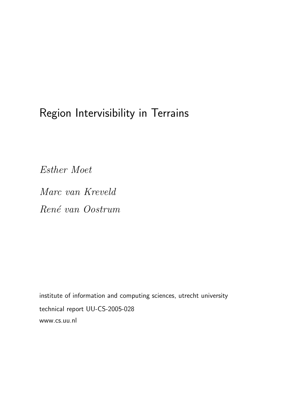# Region Intervisibility in Terrains

Esther Moet

Marc van Kreveld René van Oostrum

institute of information and computing sciences, utrecht university technical report UU-CS-2005-028 www.cs.uu.nl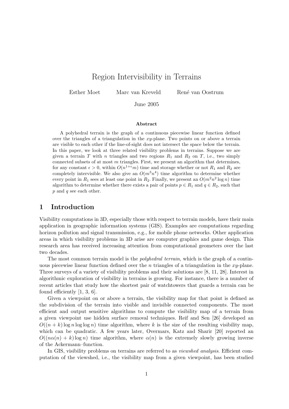## Region Intervisibility in Terrains

Esther Moet Marc van Kreveld René van Oostrum

June 2005

#### Abstract

A polyhedral terrain is the graph of a continuous piecewise linear function defined over the triangles of a triangulation in the  $xy$ -plane. Two points on or above a terrain are visible to each other if the line-of-sight does not intersect the space below the terrain. In this paper, we look at three related visibility problems in terrains. Suppose we are given a terrain T with n triangles and two regions  $R_1$  and  $R_2$  on T, i.e., two simply connected subsets of at most  $m$  triangles. First, we present an algorithm that determines, for any constant  $\epsilon > 0$ , within  $O(n^{1+\epsilon}m)$  time and storage whether or not  $R_1$  and  $R_2$  are completely intervisible. We also give an  $O(m^3n^4)$  time algorithm to determine whether every point in  $R_1$  sees at least one point in  $R_2$ . Finally, we present an  $O(m^2n^2 \log n)$  time algorithm to determine whether there exists a pair of points  $p \in R_1$  and  $q \in R_2$ , such that  $\boldsymbol{p}$  and  $\boldsymbol{q}$  see each other.

## 1 Introduction

Visibility computations in 3D, especially those with respect to terrain models, have their main application in geographic information systems (GIS). Examples are computations regarding horizon pollution and signal transmission, e.g., for mobile phone networks. Other application areas in which visibility problems in 3D arise are computer graphics and game design. This research area has received increasing attention from computational geometers over the last two decades.

The most common terrain model is the *polyhedral terrain*, which is the graph of a continuous piecewise linear function defined over the n triangles of a triangulation in the  $xy$ -plane. Three surveys of a variety of visibility problems and their solutions are [8, 11, 28]. Interest in algorithmic exploration of visibility in terrains is growing. For instance, there is a number of recent articles that study how the shortest pair of watchtowers that guards a terrain can be found efficiently [1, 3, 6].

Given a viewpoint on or above a terrain, the visibility map for that point is defined as the subdivision of the terrain into visible and invisible connected components. The most efficient and output sensitive algorithms to compute the visibility map of a terrain from a given viewpoint use hidden surface removal techniques. Reif and Sen [26] developed an  $O((n+k)\log n\log\log n)$  time algorithm, where k is the size of the resulting visibility map, which can be quadratic. A few years later, Overmars, Katz and Sharir [20] reported an  $O((n\alpha(n) + k)\log n)$  time algorithm, where  $\alpha(n)$  is the extremely slowly growing inverse of the Ackermann–function.

In GIS, visibility problems on terrains are referred to as *viewshed analysis*. Efficient computation of the viewshed, i.e., the visibility map from a given viewpoint, has been studied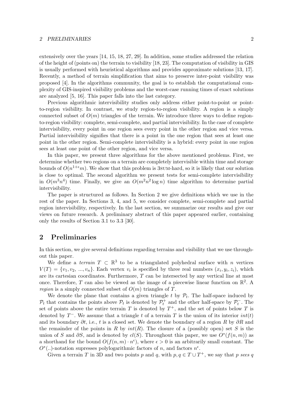#### 2 PRELIMINARIES 2

extensively over the years [14, 15, 18, 27, 29]. In addition, some studies addressed the relation of the height of (points on) the terrain to visibility [18, 23]. The computation of visibility in GIS is usually performed with heuristical algorithms and provides approximate solutions [13, 17]. Recently, a method of terrain simplification that aims to preserve inter-point visibility was proposed [4]. In the algorithms community, the goal is to establish the computational complexity of GIS-inspired visibility problems and the worst-case running times of exact solutions are analyzed [5, 16]. This paper falls into the last category.

Previous algorithmic intervisibility studies only address either point-to-point or pointto-region visibility. In contrast, we study region-to-region visibility. A region is a simply connected subset of  $O(m)$  triangles of the terrain. We introduce three ways to define regionto-region visibility: complete, semi-complete, and partial intervisibility. In the case of complete intervisibility, every point in one region sees every point in the other region and vice versa. Partial intervisibility signifies that there is a point in the one region that sees at least one point in the other region. Semi-complete intervisibility is a hybrid: every point in one region sees at least one point of the other region, and vice versa.

In this paper, we present three algorithms for the above mentioned problems. First, we determine whether two regions on a terrain are completely intervisible within time and storage bounds of  $O(n^{1+\epsilon}m)$ . We show that this problem is 3sum-hard, so it is likely that our solution is close to optimal. The second algorithm we present tests for semi-complete intervisibility in  $O(m^3n^4)$  time. Finally, we give an  $O(m^2n^2 \log n)$  time algorithm to determine partial intervisibility.

The paper is structured as follows. In Section 2 we give definitions which we use in the rest of the paper. In Sections 3, 4, and 5, we consider complete, semi-complete and partial region intervisibility, respectively. In the last section, we summarize our results and give our views on future research. A preliminary abstract of this paper appeared earlier, containing only the results of Section 3.1 to 3.3 [30].

## 2 Preliminaries

In this section, we give several definitions regarding terrains and visibility that we use throughout this paper.

We define a *terrain*  $T \subset \mathbb{R}^3$  to be a triangulated polyhedral surface with n vertices  $V(T) = \{v_1, v_2, ..., v_n\}$ . Each vertex  $v_i$  is specified by three real numbers  $(x_i, y_i, z_i)$ , which are its cartesian coordinates. Furthermore, T can be intersected by any vertical line at most once. Therefore, T can also be viewed as the image of a piecewise linear function on  $\mathbb{R}^2$ . A *region* is a simply connected subset of  $O(m)$  triangles of T.

We denote the plane that contains a given triangle  $t$  by  $\mathcal{P}_t$ . The half-space induced by  $\mathcal{P}_t$  that contains the points above  $\mathcal{P}_t$  is denoted by  $\mathcal{P}_t^+$  and the other half-space by  $\mathcal{P}_t^$  $t_t^-$ . The set of points above the entire terrain T is denoted by  $T^+$ , and the set of points below T is denoted by  $T^-$ . We assume that a triangle t of a terrain T is the union of its interior  $int(t)$ and its boundary  $\partial t$ , i.e., t is a closed set. We denote the boundary of a region R by  $\partial R$  and the remainder of the points in R by  $int(R)$ . The closure of a (possibly open) set S is the union of S and  $\partial S$ , and is denoted by  $cl(S)$ . Throughout this paper, we use  $O^*(f(n,m))$  as a shorthand for the bound  $O(f(n,m) \cdot n^{\epsilon})$ , where  $\epsilon > 0$  is an arbitrarily small constant. The  $O<sup>*</sup>(...)$ -notation supresses polylogarithmic factors of n, and factors  $n<sup>ε</sup>$ .

Given a terrain T in 3D and two points p and q, with  $p, q \in T \cup T^+$ , we say that p sees q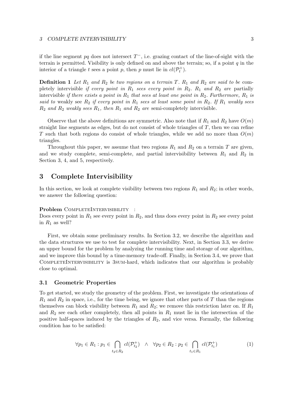if the line segment pq does not intersect  $T^{\text{-}}$ , i.e. grazing contact of the line-of-sight with the terrain is permitted. Visibility is only defined on and above the terrain; so, if a point  $q$  in the interior of a triangle t sees a point p, then p must lie in  $cl(P_t^+)$ .

**Definition 1** Let  $R_1$  and  $R_2$  be two regions on a terrain T.  $R_1$  and  $R_2$  are said to be completely intervisible if every point in  $R_1$  sees every point in  $R_2$ .  $R_1$  and  $R_2$  are partially intervisible if there exists a point in  $R_1$  that sees at least one point in  $R_2$ . Furthermore,  $R_1$  is said to weakly see  $R_2$  if every point in  $R_1$  sees at least some point in  $R_2$ . If  $R_1$  weakly sees  $R_2$  and  $R_2$  weakly sees  $R_1$ , then  $R_1$  and  $R_2$  are semi-completely intervisible.

Observe that the above definitions are symmetric. Also note that if  $R_1$  and  $R_2$  have  $O(m)$ straight line segments as edges, but do not consist of whole triangles of  $T$ , then we can refine T such that both regions do consist of whole triangles, while we add no more than  $O(m)$ triangles.

Throughout this paper, we assume that two regions  $R_1$  and  $R_2$  on a terrain T are given, and we study complete, semi-complete, and partial intervisibility between  $R_1$  and  $R_2$  in Section 3, 4, and 5, respectively.

## 3 Complete Intervisibility

In this section, we look at complete visibility between two regions  $R_1$  and  $R_2$ ; in other words, we answer the following question:

Problem COMPLETEINTERVISIBILITY :

Does every point in  $R_1$  see every point in  $R_2$ , and thus does every point in  $R_2$  see every point in  $R_1$  as well?

First, we obtain some preliminary results. In Section 3.2, we describe the algorithm and the data structures we use to test for complete intervisibility. Next, in Section 3.3, we derive an upper bound for the problem by analyzing the running time and storage of our algorithm, and we improve this bound by a time-memory trade-off. Finally, in Section 3.4, we prove that COMPLETEINTERVISIBILITY is 3sum-hard, which indicates that our algorithm is probably close to optimal.

#### 3.1 Geometric Properties

To get started, we study the geometry of the problem. First, we investigate the orientations of  $R_1$  and  $R_2$  in space, i.e., for the time being, we ignore that other parts of T than the regions themselves can block visibility between  $R_1$  and  $R_2$ ; we remove this restriction later on. If  $R_1$ and  $R_2$  see each other completely, then all points in  $R_1$  must lie in the intersection of the positive half-spaces induced by the triangles of  $R_2$ , and vice versa. Formally, the following condition has to be satisfied:

$$
\forall p_1 \in R_1 : p_1 \in \bigcap_{t_2 \in R_2} cl(\mathcal{P}_{t_2}^+) \quad \land \quad \forall p_2 \in R_2 : p_2 \in \bigcap_{t_1 \in R_1} cl(\mathcal{P}_{t_1}^+) \tag{1}
$$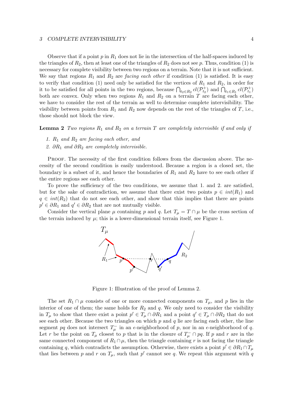Observe that if a point  $p$  in  $R_1$  does not lie in the intersection of the half-spaces induced by the triangles of  $R_2$ , then at least one of the triangles of  $R_2$  does not see p. Thus, condition (1) is necessary for complete visibility between two regions on a terrain. Note that it is not sufficient. We say that regions  $R_1$  and  $R_2$  are *facing each other* if condition (1) is satisfied. It is easy to verify that condition (1) need only be satisfied for the vertices of  $R_1$  and  $R_2$ , in order for it to be satisfied for all points in the two regions, because  $\bigcap_{t_2 \in R_2} cl(\mathcal{P}_{t_2}^+)$  and  $\bigcap_{t_1 \in R_1} cl(\mathcal{P}_{t_1}^+)$ both are convex. Only when two regions  $R_1$  and  $R_2$  on a terrain T are facing each other, we have to consider the rest of the terrain as well to determine complete intervisibility. The visibility between points from  $R_1$  and  $R_2$  now depends on the rest of the triangles of T, i.e., those should not block the view.

**Lemma 2** Two regions  $R_1$  and  $R_2$  on a terrain T are completely intervisible if and only if

- 1.  $R_1$  and  $R_2$  are facing each other, and
- 2. ∂R<sub>1</sub> and ∂R<sub>2</sub> are completely intervisible.

Proof. The necessity of the first condition follows from the discussion above. The necessity of the second condition is easily understood. Because a region is a closed set, the boundary is a subset of it, and hence the boundaries of  $R_1$  and  $R_2$  have to see each other if the entire regions see each other.

To prove the sufficiency of the two conditions, we assume that 1. and 2. are satisfied, but for the sake of contradiction, we assume that there exist two points  $p \in int(R_1)$  and  $q \in int(R_2)$  that do not see each other, and show that this implies that there are points  $p' \in \partial R_1$  and  $q' \in \partial R_2$  that are not mutually visible.

Consider the vertical plane  $\mu$  containing p and q. Let  $T_{\mu} = T \cap \mu$  be the cross section of the terrain induced by  $\mu$ ; this is a lower-dimensional terrain itself, see Figure 1.



Figure 1: Illustration of the proof of Lemma 2.

The set  $R_1 \cap \mu$  consists of one or more connected components on  $T_\mu$ , and p lies in the interior of one of them; the same holds for  $R_2$  and  $q$ . We only need to consider the visibility in  $T_{\mu}$  to show that there exist a point  $p' \in T_{\mu} \cap \partial R_1$  and a point  $q' \in T_{\mu} \cap \partial R_2$  that do not see each other. Because the two triangles on which  $p$  and  $q$  lie are facing each other, the line segment pq does not intersect  $T_{\mu}^-$  in an  $\epsilon$ -neighborhood of p, nor in an  $\epsilon$ -neighborhood of q. Let r be the point on  $T_{\mu}$  closest to p that is in the closure of  $T_{\mu}^- \cap pq$ . If p and r are in the same connected component of  $R_1 \cap \mu$ , then the triangle containing r is not facing the triangle containing q, which contradicts the assumption. Otherwise, there exists a point  $p' \in \partial R_1 \cap T_\mu$ that lies between p and r on  $T_{\mu}$ , such that p' cannot see q. We repeat this argument with q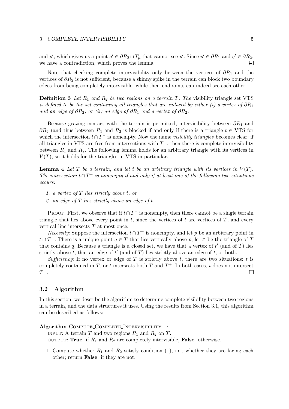and p', which gives us a point  $q' \in \partial R_2 \cap T_\mu$  that cannot see p'. Since  $p' \in \partial R_1$  and  $q' \in \partial R_2$ , we have a contradiction, which proves the lemma.  $\Box$ 

Note that checking complete intervisibility only between the vertices of  $\partial R_1$  and the vertices of  $\partial R_2$  is not sufficient, because a skinny spike in the terrain can block two boundary edges from being completely intervisible, while their endpoints can indeed see each other.

**Definition 3** Let  $R_1$  and  $R_2$  be two regions on a terrain T. The visibility triangle set VTS is defined to be the set containing all triangles that are induced by either (i) a vertex of  $\partial R_1$ and an edge of  $\partial R_2$ , or (ii) an edge of  $\partial R_1$  and a vertex of  $\partial R_2$ .

Because grazing contact with the terrain is permitted, intervisibility between  $\partial R_1$  and  $\partial R_2$  (and thus between  $R_1$  and  $R_2$  is blocked if and only if there is a triangle  $t \in VTS$  for which the intersection  $t \cap T^-$  is nonempty. Now the name *visibility triangles* becomes clear: if all triangles in VTS are free from intersections with  $T^-$ , then there is complete intervisibility between  $R_1$  and  $R_2$ . The following lemma holds for an arbitrary triangle with its vertices in  $V(T)$ , so it holds for the triangles in VTS in particular.

**Lemma 4** Let T be a terrain, and let t be an arbitrary triangle with its vertices in  $V(T)$ . The intersection  $t \cap T^-$  is nonempty if and only if at least one of the following two situations occurs:

- 1. a vertex of T lies strictly above t, or
- 2. an edge of  $T$  lies strictly above an edge of  $t$ .

PROOF. First, we observe that if  $t \cap T^-$  is nonempty, then there cannot be a single terrain triangle that lies above every point in  $t$ , since the vertices of  $t$  are vertices of  $T$ , and every vertical line intersects T at most once.

Necessity: Suppose the intersection  $t \cap T^-$  is nonempty, and let p be an arbitrary point in  $t \cap T^-$ . There is a unique point  $q \in T$  that lies vertically above p; let t' be the triangle of T that contains q. Because a triangle is a closed set, we have that a vertex of  $t'$  (and of  $T$ ) lies strictly above t, that an edge of  $t'$  (and of T) lies strictly above an edge of t, or both.

Sufficiency: If no vertex or edge of T is strictly above t, there are two situations: t is completely contained in T, or t intersects both T and  $T^+$ . In both cases, t does not intersect  $T^-$ . 囙

## 3.2 Algorithm

In this section, we describe the algorithm to determine complete visibility between two regions in a terrain, and the data structures it uses. Using the results from Section 3.1, this algorithm can be described as follows:

Algorithm COMPUTE\_COMPLETE\_INTERVISIBILITY :

INPUT: A terrain T and two regions  $R_1$  and  $R_2$  on T. OUTPUT: True if  $R_1$  and  $R_2$  are completely intervisible, False otherwise.

1. Compute whether  $R_1$  and  $R_2$  satisfy condition (1), i.e., whether they are facing each other; return False if they are not.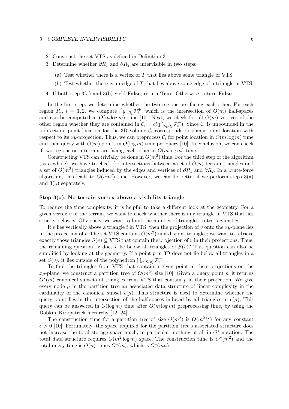- 2. Construct the set VTS as defined in Definition 3.
- 3. Determine whether  $\partial R_1$  and  $\partial R_2$  are intervisible in two steps:
	- (a) Test whether there is a vertex of  $T$  that lies above some triangle of VTS.
	- (b) Test whether there is an edge of T that lies above some edge of a triangle in VTS.
- 4. If both step  $3(a)$  and  $3(b)$  yield False, return True. Otherwise, return False.

In the first step, we determine whether the two regions are facing each other. For each region  $R_i$ ,  $i = 1, 2$ , we compute  $\bigcap_{t \in R_i} \mathcal{P}_t^+$ , which is the intersection of  $O(m)$  half-spaces and can be computed in  $O(m \log m)$  time [10]. Next, we check for all  $O(m)$  vertices of the other region whether they are contained in  $\mathcal{C}_i = cl(\bigcap_{t \in R_i} \mathcal{P}_t^+)$ . Since  $\mathcal{C}_i$  is unbounded in the z-direction, point location for the 3D volume  $\mathcal{C}_i$  corresponds to planar point location with respect to its xy-projection. Thus, we can preprocess  $\mathcal{C}_i$  for point location in  $O(m \log m)$  time and then query with  $O(m)$  points in  $O(\log m)$  time per query [10]. In conclusion, we can check if two regions on a terrain are facing each other in  $O(m \log m)$  time.

Constructing VTS can trivially be done in  $O(m^2)$  time. For the third step of the algorithm (as a whole), we have to check for intersections between a set of  $O(n)$  terrain triangles and a set of  $O(m^2)$  triangles induced by the edges and vertices of  $\partial R_1$  and  $\partial R_2$ . In a brute-force algorithm, this leads to  $O(nm^2)$  time. However, we can do better if we perform steps  $3(a)$ and 3(b) separately.

#### Step 3(a): No terrain vertex above a visibility triangle

To reduce the time complexity, it is helpful to take a different look at the geometry. For a given vertex  $v$  of the terrain, we want to check whether there is any triangle in VTS that lies strictly below v. Obviously, we want to limit the number of triangles to test against v.

If v lies vertically above a triangle t in VTS, then the projection of v onto the  $xy$ -plane lies in the projection of t. The set VTS contains  $O(m^2)$  non-disjoint triangles; we want to retrieve exactly those triangles  $S(v) \subseteq VTS$  that contain the projection of v in their projections. Thus, the remaining question is: does v lie below all triangles of  $S(v)$ ? This question can also be simplified by looking at the geometry. If a point  $p$  in 3D does not lie below all triangles in a set  $S(v)$ , it lies outside of the polyhedron  $\bigcap_{t \in S(v)} \mathcal{P}_t^ \bar{t}$ .

To find the triangles from VTS that contain a given point in their projections on the xy-plane, we construct a partition tree of  $O(m^2)$  size [10]. Given a query point p, it returns  $O<sup>*</sup>(m)$  canonical subsets of triangles from VTS that contain p in their projection. We give every node  $\mu$  in the partition tree an associated data structure of linear complexity in the cardinality of the canonical subset  $c(\mu)$ . This structure is used to determine whether the query point lies in the intersection of the half-spaces induced by all triangles in  $c(\mu)$ . This query can be answered in  $O(\log m)$  time after  $O(m \log m)$  preprocessing time, by using the Dobkin–Kirkpatrick hierarchy [12, 24].

The construction time for a partition tree of size  $O(m^2)$  is  $O(m^{2+\epsilon})$  for any constant  $\epsilon > 0$  [10]. Fortunately, the space required for the partition tree's associated structure does not increase the total storage space much, in particular, nothing at all in  $O^*$ -notation. The total data structure requires  $O(m^2 \log m)$  space. The construction time is  $O^*(m^2)$  and the total query time is  $O(n)$  times  $O^*(m)$ , which is  $O^*(mn)$ .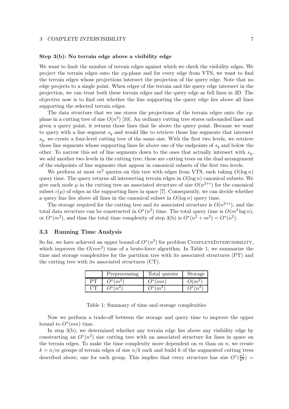#### Step 3(b): No terrain edge above a visibility edge

We want to limit the number of terrain edges against which we check the visibility edges. We project the terrain edges onto the xy-plane and for every edge from VTS, we want to find the terrain edges whose projections intersect the projection of the query edge. Note that no edge projects to a single point. When edges of the terrain and the query edge intersect in the projection, we can treat both these terrain edges and the query edge as full lines in 3D. The objective now is to find out whether the line supporting the query edge lies above all lines supporting the selected terrain edges.

The data structure that we use stores the projections of the terrain edges onto the xyplane in a cutting tree of size  $O(n^2)$  [10]. An ordinary cutting tree stores unbounded lines and given a query point, it returns those lines that lie above the query point. Because we want to query with a line segment  $s_q$  and would like to retrieve those line segments that intersect  $s_q$ , we create a four-level cutting tree of the same size. With the first two levels, we retrieve those line segments whose supporting lines lie above one of the endpoints of  $s_q$  and below the other. To narrow this set of line segments down to the ones that actually intersect with  $s_q$ , we add another two levels in the cutting tree; these are cutting trees on the dual arrangement of the endpoints of line segments that appear in canonical subsets of the first two levels.

We perform at most  $m^2$  queries on this tree with edges from VTS, each taking  $O(\log n)$ query time. The query returns all intersecting terrain edges in  $O(\log n)$  canonical subsets. We give each node  $\mu$  in the cutting tree an associated structure of size  $O(n^{2+\epsilon})$  for the canonical subset  $c(\mu)$  of edges as the supporting lines in space [7]. Consequently, we can decide whether a query line lies above all lines in the canonical subset in  $O(\log n)$  query time.

The storage required for the cutting tree and its associated structure is  $O(n^{2+\epsilon})$ , and the total data structure can be constructed in  $O^*(n^2)$  time. The total query time is  $O(m^2 \log n)$ , or  $O^*(m^2)$ , and thus the total time complexity of step 3(b) is  $O^*(n^2 + m^2) = O^*(n^2)$ .

#### 3.3 Running Time Analysis

So far, we have achieved an upper bound of  $O^*(n^2)$  for problem COMPLETEINTERVISIBILITY, which improves the  $O(nm^2)$  time of a brute-force algorithm. In Table 1, we summarize the time and storage complexities for the partition tree with its associated structures (PT) and the cutting tree with its associated structures (CT).

|    | Preprocessing                        | Total queries      | Storage        |
|----|--------------------------------------|--------------------|----------------|
| ΡT | $\bigcap *$ (                        | $(x^{*}(mn))$      | m <sup>2</sup> |
|    | $\rightarrow$ $\rightarrow$ $\prime$ | $\mathcal{V}^*(m)$ | ، * ٦          |

Table 1: Summary of time and storage complexities

Now we perform a trade-off between the storage and query time to improve the upper bound to  $O^*(mn)$  time.

In step 3(b), we determined whether any terrain edge lies above any visibility edge by constructing an  $O^*(n^2)$  size cutting tree with an associated structure for lines in space on the terrain edges. To make the time complexity more dependent on  $m$  than on  $n$ , we create  $k = n/m$  groups of terrain edges of size  $n/k$  each and build k of the augmented cutting trees described above, one for each group. This implies that every structure has size  $O^*(\frac{n^2}{k^2})$  $\frac{n^2}{k^2}$ ) =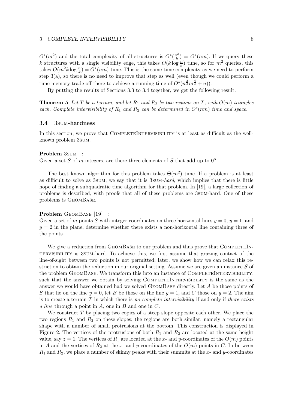$O^*(m^2)$  and the total complexity of all structures is  $O^*(\frac{n^2}{k})$  $\frac{n^2}{k}$ ) =  $O^*(nm)$ . If we query these k structures with a single visibility edge, this takes  $O(k \log \frac{n}{k})$  time, so for  $m^2$  queries, this takes  $O(m^2 k \log \frac{n}{k}) = O^*(nm)$  time. This is the same time complexity as we need to perform step  $3(a)$ , so there is no need to improve that step as well (even though we could perform a time-memory trade-off there to achieve a running time of  $O^*(n^{\frac{2}{3}}m^{\frac{4}{3}}+n)$ .

By putting the results of Sections 3.3 to 3.4 together, we get the following result.

**Theorem 5** Let T be a terrain, and let  $R_1$  and  $R_2$  be two regions on T, with  $O(m)$  triangles each. Complete intervisibility of  $R_1$  and  $R_2$  can be determined in  $O^*(nm)$  time and space.

#### 3.4 3sum-hardness

In this section, we prove that COMPLETEINTERVISIBILITY is at least as difficult as the wellknown problem 3sum.

#### Problem 3sum :

Given a set S of m integers, are there three elements of S that add up to 0?

The best known algorithm for this problem takes  $\Theta(m^2)$  time. If a problem is at least as difficult to solve as 3sum, we say that it is 3sum-hard, which implies that there is little hope of finding a subquadratic time algorithm for that problem. In [19], a large collection of problems is described, with proofs that all of these problems are 3sum-hard. One of these problems is GeomBase.

#### Problem GEOMBASE [19] :

Given a set of m points S with integer coordinates on three horizontal lines  $y = 0$ ,  $y = 1$ , and  $y = 2$  in the plane, determine whether there exists a non-horizontal line containing three of the points.

We give a reduction from GEOMBASE to our problem and thus prove that COMPLETEINtervisibility is 3sum-hard. To achieve this, we first assume that grazing contact of the line-of-sight between two points is not permitted; later, we show how we can relax this restriction to obtain the reduction in our original setting. Assume we are given an instance  $S$  of the problem GEOMBASE. We transform this into an instance of COMPLETEINTERVISIBILITY, such that the answer we obtain by solving COMPLETEINTERVISIBILITY is the same as the answer we would have obtained had we solved GeomBase directly. Let A be those points of S that lie on the line  $y = 0$ , let B be those on the line  $y = 1$ , and C those on  $y = 2$ . The aim is to create a terrain  $T$  in which there is no complete intervisibility if and only if there exists a line through a point in A, one in B and one in  $C$ .

We construct  $T$  by placing two copies of a steep slope opposite each other. We place the two regions  $R_1$  and  $R_2$  on these slopes; the regions are both similar, namely a rectangular shape with a number of small protrusions at the bottom. This construction is displayed in Figure 2. The vertices of the protrusions of both  $R_1$  and  $R_2$  are located at the same height value, say  $z = 1$ . The vertices of  $R_1$  are located at the x- and y-coordinates of the  $O(m)$  points in A and the vertices of  $R_2$  at the x- and y-coordinates of the  $O(m)$  points in C. In between  $R_1$  and  $R_2$ , we place a number of skinny peaks with their summits at the x- and y-coordinates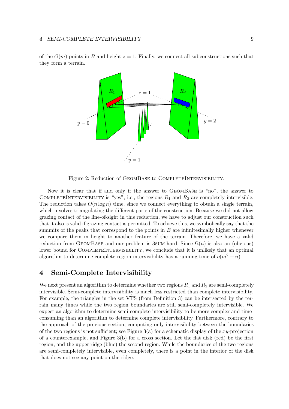of the  $O(m)$  points in B and height  $z = 1$ . Finally, we connect all subconstructions such that they form a terrain.



Figure 2: Reduction of GEOMBASE to COMPLETEINTERVISIBILITY.

Now it is clear that if and only if the answer to GeomBase is "no", the answer to COMPLETEINTERVISIBILITY is "yes", i.e., the regions  $R_1$  and  $R_2$  are completely intervisible. The reduction takes  $O(n \log n)$  time, since we connect everything to obtain a single terrain, which involves triangulating the different parts of the construction. Because we did not allow grazing contact of the line-of-sight in this reduction, we have to adjust our construction such that it also is valid if grazing contact is permitted. To achieve this, we symbolically say that the summits of the peaks that correspond to the points in  $B$  are infinitesimally higher whenever we compare them in height to another feature of the terrain. Therefore, we have a valid reduction from GEOMBASE and our problem is 3SUM-hard. Since  $\Omega(n)$  is also an (obvious) lower bound for COMPLETEINTERVISIBILITY, we conclude that it is unlikely that an optimal algorithm to determine complete region intervisibility has a running time of  $o(m^2 + n)$ .

## 4 Semi-Complete Intervisibility

We next present an algorithm to determine whether two regions  $R_1$  and  $R_2$  are semi-completely intervisible. Semi-complete intervisibility is much less restricted than complete intervisibility. For example, the triangles in the set VTS (from Definition 3) can be intersected by the terrain many times while the two region boundaries are still semi-completely intervisible. We expect an algorithm to determine semi-complete intervisibility to be more complex and timeconsuming than an algorithm to determine complete intervisibility. Furthermore, contrary to the approach of the previous section, computing only intervisibility between the boundaries of the two regions is not sufficient; see Figure  $3(a)$  for a schematic display of the xy-projection of a counterexample, and Figure  $3(b)$  for a cross section. Let the flat disk (red) be the first region, and the upper ridge (blue) the second region. While the boundaries of the two regions are semi-completely intervisible, even completely, there is a point in the interior of the disk that does not see any point on the ridge.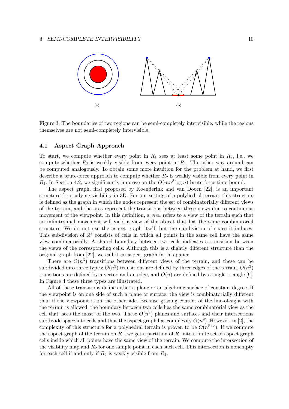

Figure 3: The boundaries of two regions can be semi-completely intervisible, while the regions themselves are not semi-completely intervisible.

## 4.1 Aspect Graph Approach

To start, we compute whether every point in  $R_1$  sees at least some point in  $R_2$ , i.e., we compute whether  $R_2$  is weakly visible from every point in  $R_1$ . The other way around can be computed analogously. To obtain some more intuition for the problem at hand, we first describe a brute-force approach to compute whether  $R_2$  is weakly visible from every point in  $R_1$ . In Section 4.2, we significantly improve on the  $O(mn^8 \log n)$  brute-force time bound.

The aspect graph, first proposed by Koenderink and van Doorn [22], is an important structure for studying visibility in 3D. For our setting of a polyhedral terrain, this structure is defined as the graph in which the nodes represent the set of combinatorially different views of the terrain, and the arcs represent the transitions between these views due to continuous movement of the viewpoint. In this definition, a *view* refers to a view of the terrain such that an infinitesimal movement will yield a view of the object that has the same combinatorial structure. We do not use the aspect graph itself, but the subdivision of space it induces. This subdivision of  $\mathbb{R}^3$  consists of cells in which all points in the same cell have the same view combinatorially. A shared boundary between two cells indicates a transition between the views of the corresponding cells. Although this is a slightly different structure than the original graph from [22], we call it an aspect graph in this paper.

There are  $O(n^3)$  transitions between different views of the terrain, and these can be subdivided into three types:  $O(n^3)$  transitions are defined by three edges of the terrain,  $O(n^2)$ transitions are defined by a vertex and an edge, and  $O(n)$  are defined by a single triangle [9]. In Figure 4 these three types are illustrated.

All of these transitions define either a plane or an algebraic surface of constant degree. If the viewpoint is on one side of such a plane or surface, the view is combinatorially different than if the viewpoint is on the other side. Because grazing contact of the line-of-sight with the terrain is allowed, the boundary between two cells has the same combinatorial view as the cell that 'sees the most' of the two. These  $O(n^3)$  planes and surfaces and their intersections subdivide space into cells and thus the aspect graph has complexity  $O(n^9)$ . However, in [2], the complexity of this structure for a polyhedral terrain is proven to be  $O(n^{8+\epsilon})$ . If we compute the aspect graph of the terrain on  $R_1$ , we get a partition of  $R_1$  into a finite set of aspect graph cells inside which all points have the same view of the terrain. We compute the intersection of the visibility map and  $R_2$  for one sample point in each such cell. This intersection is nonempty for each cell if and only if  $R_2$  is weakly visible from  $R_1$ .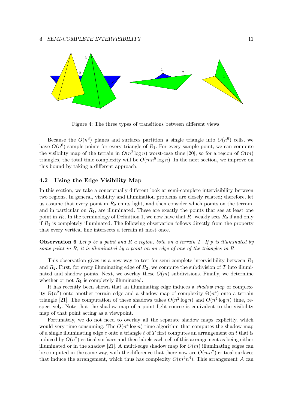

Figure 4: The three types of transitions between different views.

Because the  $O(n^3)$  planes and surfaces partition a single triangle into  $O(n^6)$  cells, we have  $O(n^6)$  sample points for every triangle of  $R_1$ . For every sample point, we can compute the visibility map of the terrain in  $O(n^2 \log n)$  worst-case time [20], so for a region of  $O(m)$ triangles, the total time complexity will be  $O(mn^8 \log n)$ . In the next section, we improve on this bound by taking a different approach.

## 4.2 Using the Edge Visibility Map

In this section, we take a conceptually different look at semi-complete intervisibility between two regions. In general, visibility and illumination problems are closely related; therefore, let us assume that every point in  $R_2$  emits light, and then consider which points on the terrain, and in particular on  $R_1$ , are illuminated. These are exactly the points that see at least one point in  $R_2$ . In the terminology of Definition 1, we now have that  $R_1$  weakly sees  $R_2$  if and only if  $R_1$  is completely illuminated. The following observation follows directly from the property that every vertical line intersects a terrain at most once.

**Observation 6** Let p be a point and R a region, both on a terrain T. If p is illuminated by some point in  $R$ , it is illuminated by a point on an edge of one of the triangles in  $R$ .

This observation gives us a new way to test for semi-complete intervisibility between  $R_1$ and  $R_2$ . First, for every illuminating edge of  $R_2$ , we compute the subdivision of T into illuminated and shadow points. Next, we overlay these  $O(m)$  subdivisions. Finally, we determine whether or not  $R_1$  is completely illuminated.

It has recently been shown that an illuminating edge induces a shadow map of complexity  $\Theta(n^2)$  onto another terrain edge and a shadow map of complexity  $\Theta(n^4)$  onto a terrain triangle [21]. The computation of these shadows takes  $O(n^2 \log n)$  and  $O(n^4 \log n)$  time, respectively. Note that the shadow map of a point light source is equivalent to the visibility map of that point acting as a viewpoint.

Fortunately, we do not need to overlay all the separate shadow maps explicitly, which would very time-consuming. The  $O(n^4 \log n)$  time algorithm that computes the shadow map of a single illuminating edge  $e$  onto a triangle  $t$  of  $T$  first computes an arrangement on  $t$  that is induced by  $O(n^2)$  critical surfaces and then labels each cell of this arrangement as being either illuminated or in the shadow [21]. A multi-edge shadow map for  $O(m)$  illuminating edges can be computed in the same way, with the difference that there now are  $O(mn^2)$  critical surfaces that induce the arrangement, which thus has complexity  $O(m^2n^4)$ . This arrangement A can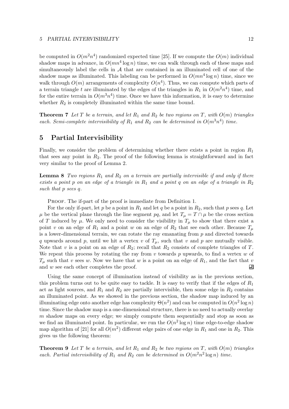#### 5 PARTIAL INTERVISIBILITY 12

be computed in  $O(m^2n^4)$  randomized expected time [25]. If we compute the  $O(m)$  individual shadow maps in advance, in  $O(mn^4 \log n)$  time, we can walk through each of these maps and simultaneously label the cells in  $A$  that are contained in an illuminated cell of one of the shadow maps as illuminated. This labeling can be performed in  $O(mn^4 \log n)$  time, since we walk through  $O(m)$  arrangements of complexity  $O(n^4)$ . Thus, we can compute which parts of a terrain triangle t are illuminated by the edges of the triangles in  $R_1$  in  $O(m^2n^4)$  time, and for the entire terrain in  $O(m^3n^4)$  time. Once we have this information, it is easy to determine whether  $R_2$  is completely illuminated within the same time bound.

**Theorem 7** Let T be a terrain, and let  $R_1$  and  $R_2$  be two regions on T, with  $O(m)$  triangles each. Semi-complete intervisibility of  $R_1$  and  $R_2$  can be determined in  $O(m^3n^4)$  time.

## 5 Partial Intervisibility

Finally, we consider the problem of determining whether there exists a point in region  $R_1$ that sees any point in  $R_2$ . The proof of the following lemma is straightforward and in fact very similar to the proof of Lemma 2.

**Lemma 8** Two regions  $R_1$  and  $R_2$  on a terrain are partially intervisible if and only if there exists a point p on an edge of a triangle in  $R_1$  and a point q on an edge of a triangle in  $R_2$ such that p sees q.

PROOF. The if-part of the proof is immediate from Definition 1.

For the only if-part, let p be a point in  $R_1$  and let q be a point in  $R_2$ , such that p sees q. Let  $\mu$  be the vertical plane through the line segment pq, and let  $T_{\mu} = T \cap \mu$  be the cross section of T induced by  $\mu$ . We only need to consider the visibility in  $T_{\mu}$  to show that there exist a point v on an edge of  $R_1$  and a point w on an edge of  $R_2$  that see each other. Because  $T_\mu$ is a lower-dimensional terrain, we can rotate the ray emanating from  $p$  and directed towards q upwards around p, until we hit a vertex v of  $T_{\mu}$ , such that v and p are mutually visible. Note that v is a point on an edge of  $R_2$ ; recall that  $R_2$  consists of complete triangles of T. We repeat this process by rotating the ray from  $v$  towards  $p$  upwards, to find a vertex  $w$  of  $T_{\mu}$  such that v sees w. Now we have that w is a point on an edge of  $R_1$ , and the fact that v and w see each other completes the proof. 囙

Using the same concept of illumination instead of visibility as in the previous section, this problem turns out to be quite easy to tackle. It is easy to verify that if the edges of  $R_1$ act as light sources, and  $R_1$  and  $R_2$  are partially intervisible, then some edge in  $R_2$  contains an illuminated point. As we showed in the previous section, the shadow map induced by an illuminating edge onto another edge has complexity  $\Theta(n^2)$  and can be computed in  $O(n^2 \log n)$ time. Since the shadow map is a one-dimensional structure, there is no need to actually overlay  $m$  shadow maps on every edge; we simply compute them sequentially and stop as soon as we find an illuminated point. In particular, we run the  $O(n^2 \log n)$  time edge-to-edge shadow map algorithm of [21] for all  $O(m^2)$  different edge pairs of one edge in  $R_1$  and one in  $R_2$ . This gives us the following theorem:

**Theorem 9** Let T be a terrain, and let  $R_1$  and  $R_2$  be two regions on T, with  $O(m)$  triangles each. Partial intervisibility of  $R_1$  and  $R_2$  can be determined in  $O(m^2n^2 \log n)$  time.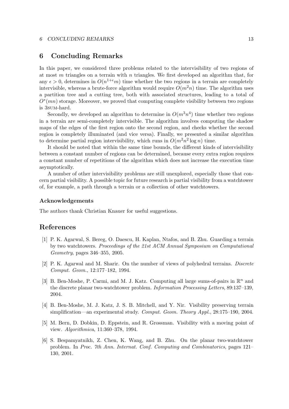#### 6 CONCLUDING REMARKS 13

## 6 Concluding Remarks

In this paper, we considered three problems related to the intervisibility of two regions of at most m triangles on a terrain with n triangles. We first developed an algorithm that, for any  $\epsilon > 0$ , determines in  $O(n^{1+\epsilon}m)$  time whether the two regions in a terrain are completely intervisible, whereas a brute-force algorithm would require  $O(m^2n)$  time. The algorithm uses a partition tree and a cutting tree, both with associated structures, leading to a total of  $O<sup>*</sup>(mn)$  storage. Moreover, we proved that computing complete visibility between two regions is 3sum-hard.

Secondly, we developed an algorithm to determine in  $O(m^3n^4)$  time whether two regions in a terrain are semi-completely intervisible. The algorithm involves computing the shadow maps of the edges of the first region onto the second region, and checks whether the second region is completely illuminated (and vice versa). Finally, we presented a similar algorithm to determine partial region intervisibility, which runs in  $O(m^2n^2 \log n)$  time.

It should be noted that within the same time bounds, the different kinds of intervisibility between a constant number of regions can be determined, because every extra region requires a constant number of repetitions of the algorithm which does not increase the execution time asymptotically.

A number of other intervisibility problems are still unexplored, especially those that concern partial visibility. A possible topic for future research is partial visibility from a watchtower of, for example, a path through a terrain or a collection of other watchtowers.

#### Acknowledgements

The authors thank Christian Knauer for useful suggestions.

## References

- [1] P. K. Agarwal, S. Bereg, O. Daescu, H. Kaplan, Ntafos, and B. Zhu. Guarding a terrain by two watchtowers. Proceedings of the 21st ACM Annual Symposium on Computational Geometry, pages 346–355, 2005.
- [2] P. K. Agarwal and M. Sharir. On the number of views of polyhedral terrains. Discrete Comput. Geom., 12:177–182, 1994.
- [3] B. Ben-Moshe, P. Carmi, and M. J. Katz. Computing all large sums-of-pairs in  $\mathbb{R}^n$  and the discrete planar two-watchtower problem. Information Processing Letters, 89:137–139, 2004.
- [4] B. Ben-Moshe, M. J. Katz, J. S. B. Mitchell, and Y. Nir. Visibility preserving terrain simplification—an experimental study. Comput. Geom. Theory Appl., 28:175–190, 2004.
- [5] M. Bern, D. Dobkin, D. Eppstein, and R. Grossman. Visibility with a moving point of view. Algorithmica, 11:360–378, 1994.
- [6] S. Bespamyatnikh, Z. Chen, K. Wang, and B. Zhu. On the planar two-watchtower problem. In Proc. 7th Ann. Internat. Conf. Computing and Combinatorics, pages 121– 130, 2001.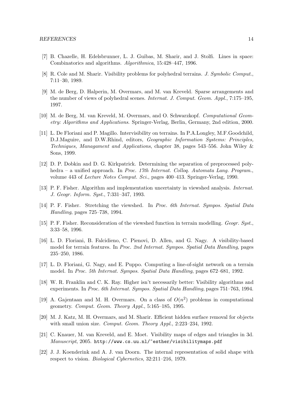- [7] B. Chazelle, H. Edelsbrunner, L. J. Guibas, M. Sharir, and J. Stolfi. Lines in space: Combinatorics and algorithms. Algorithmica, 15:428–447, 1996.
- [8] R. Cole and M. Sharir. Visibility problems for polyhedral terrains. J. Symbolic Comput., 7:11–30, 1989.
- [9] M. de Berg, D. Halperin, M. Overmars, and M. van Kreveld. Sparse arrangements and the number of views of polyhedral scenes. Internat. J. Comput. Geom. Appl., 7:175–195, 1997.
- [10] M. de Berg, M. van Kreveld, M. Overmars, and O. Schwarzkopf. Computational Geometry: Algorithms and Applications. Springer-Verlag, Berlin, Germany, 2nd edition, 2000.
- [11] L. De Floriani and P. Magillo. Intervisibility on terrains. In P.A.Longley, M.F.Goodchild, D.J.Maguire, and D.W.Rhind, editors, Geographic Information Systems: Principles, Techniques, Managament and Applications, chapter 38, pages 543–556. John Wiley & Sons, 1999.
- [12] D. P. Dobkin and D. G. Kirkpatrick. Determining the separation of preprocessed polyhedra – a unified approach. In Proc. 17th Internat. Colloq. Automata Lang. Program., volume 443 of Lecture Notes Comput. Sci., pages 400–413. Springer-Verlag, 1990.
- [13] P. F. Fisher. Algorithm and implementation uncertainty in viewshed analysis. Internat. J. Geogr. Inform. Syst., 7:331–347, 1993.
- [14] P. F. Fisher. Stretching the viewshed. In Proc. 6th Internat. Sympos. Spatial Data Handling, pages 725–738, 1994.
- [15] P. F. Fisher. Reconsideration of the viewshed function in terrain modelling. Geogr. Syst., 3:33–58, 1996.
- [16] L. D. Floriani, B. Falcidieno, C. Pienovi, D. Allen, and G. Nagy. A visibility-based model for terrain features. In Proc. 2nd Internat. Sympos. Spatial Data Handling, pages 235–250, 1986.
- [17] L. D. Floriani, G. Nagy, and E. Puppo. Computing a line-of-sight network on a terrain model. In Proc. 5th Internat. Sympos. Spatial Data Handling, pages 672–681, 1992.
- [18] W. R. Franklin and C. K. Ray. Higher isn't necessarily better: Visibility algorithms and experiments. In Proc. 6th Internat. Sympos. Spatial Data Handling, pages 751–763, 1994.
- [19] A. Gajentaan and M. H. Overmars. On a class of  $O(n^2)$  problems in computational geometry. Comput. Geom. Theory Appl., 5:165–185, 1995.
- [20] M. J. Katz, M. H. Overmars, and M. Sharir. Efficient hidden surface removal for objects with small union size. *Comput. Geom. Theory Appl.*, 2:223–234, 1992.
- [21] C. Knauer, M. van Kreveld, and E. Moet. Visibility maps of edges and triangles in 3d. Manuscript, 2005. http://www.cs.uu.nl/~esther/visibilitymaps.pdf
- [22] J. J. Koenderink and A. J. van Doorn. The internal representation of solid shape with respect to vision. Biological Cybernetics, 32:211–216, 1979.